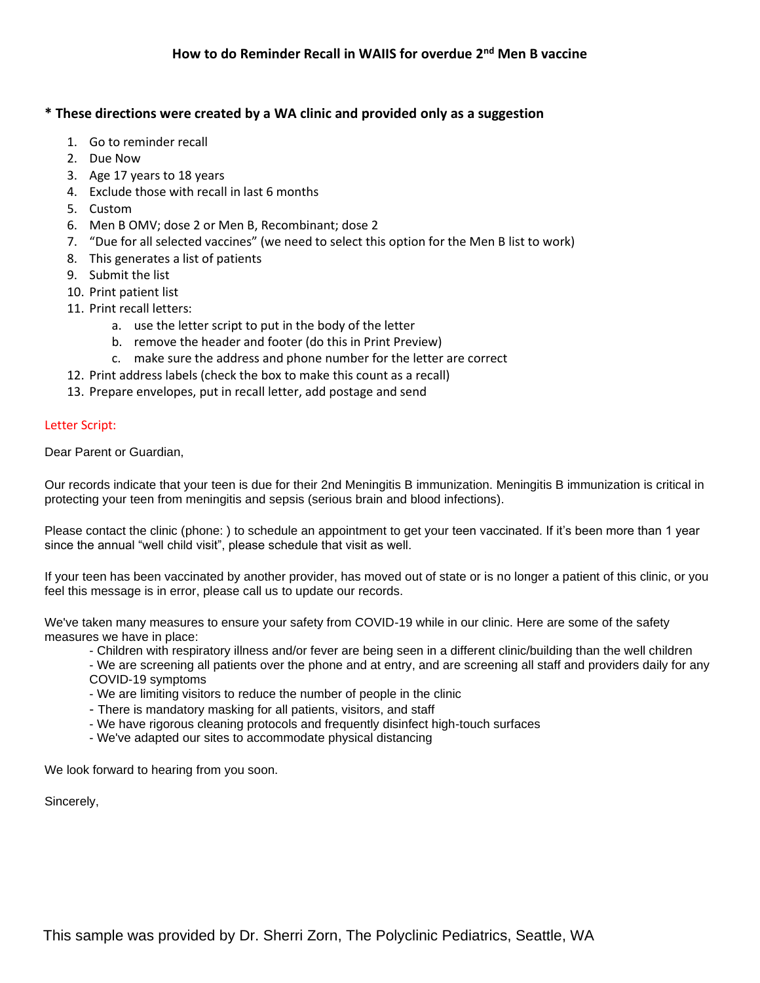## **\* These directions were created by a WA clinic and provided only as a suggestion**

- 1. Go to reminder recall
- 2. Due Now
- 3. Age 17 years to 18 years
- 4. Exclude those with recall in last 6 months
- 5. Custom
- 6. Men B OMV; dose 2 or Men B, Recombinant; dose 2
- 7. "Due for all selected vaccines" (we need to select this option for the Men B list to work)
- 8. This generates a list of patients
- 9. Submit the list
- 10. Print patient list
- 11. Print recall letters:
	- a. use the letter script to put in the body of the letter
	- b. remove the header and footer (do this in Print Preview)
	- c. make sure the address and phone number for the letter are correct
- 12. Print address labels (check the box to make this count as a recall)
- 13. Prepare envelopes, put in recall letter, add postage and send

## Letter Script:

Dear Parent or Guardian,

Our records indicate that your teen is due for their 2nd Meningitis B immunization. Meningitis B immunization is critical in protecting your teen from meningitis and sepsis (serious brain and blood infections).

Please contact the clinic (phone: ) to schedule an appointment to get your teen vaccinated. If it's been more than 1 year since the annual "well child visit", please schedule that visit as well.

If your teen has been vaccinated by another provider, has moved out of state or is no longer a patient of this clinic, or you feel this message is in error, please call us to update our records.

We've taken many measures to ensure your safety from COVID-19 while in our clinic. Here are some of the safety measures we have in place:

- Children with respiratory illness and/or fever are being seen in a different clinic/building than the well children

- We are screening all patients over the phone and at entry, and are screening all staff and providers daily for any COVID-19 symptoms

- We are limiting visitors to reduce the number of people in the clinic
- There is mandatory masking for all patients, visitors, and staff
- We have rigorous cleaning protocols and frequently disinfect high-touch surfaces
- We've adapted our sites to accommodate physical distancing

We look forward to hearing from you soon.

Sincerely,